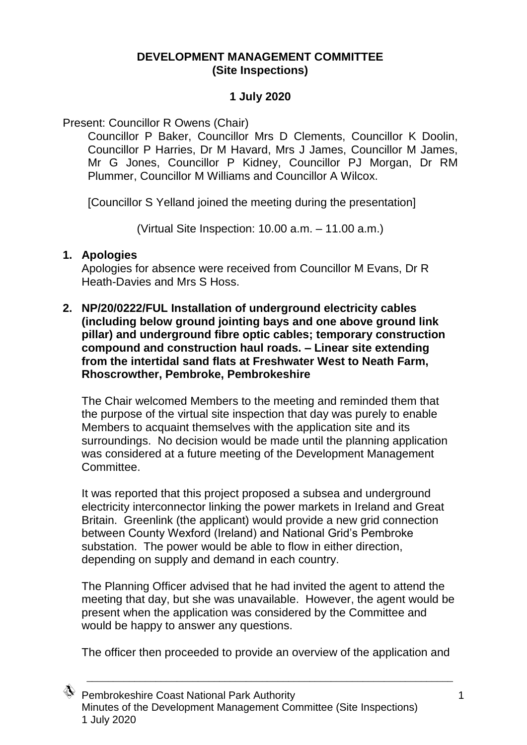## **DEVELOPMENT MANAGEMENT COMMITTEE (Site Inspections)**

## **1 July 2020**

Present: Councillor R Owens (Chair)

Councillor P Baker, Councillor Mrs D Clements, Councillor K Doolin, Councillor P Harries, Dr M Havard, Mrs J James, Councillor M James, Mr G Jones, Councillor P Kidney, Councillor PJ Morgan, Dr RM Plummer, Councillor M Williams and Councillor A Wilcox.

[Councillor S Yelland joined the meeting during the presentation]

(Virtual Site Inspection: 10.00 a.m. – 11.00 a.m.)

## **1. Apologies**

Apologies for absence were received from Councillor M Evans, Dr R Heath-Davies and Mrs S Hoss.

**2. NP/20/0222/FUL Installation of underground electricity cables (including below ground jointing bays and one above ground link pillar) and underground fibre optic cables; temporary construction compound and construction haul roads. – Linear site extending from the intertidal sand flats at Freshwater West to Neath Farm, Rhoscrowther, Pembroke, Pembrokeshire**

The Chair welcomed Members to the meeting and reminded them that the purpose of the virtual site inspection that day was purely to enable Members to acquaint themselves with the application site and its surroundings. No decision would be made until the planning application was considered at a future meeting of the Development Management Committee.

It was reported that this project proposed a subsea and underground electricity interconnector linking the power markets in Ireland and Great Britain. Greenlink (the applicant) would provide a new grid connection between County Wexford (Ireland) and National Grid's Pembroke substation. The power would be able to flow in either direction, depending on supply and demand in each country.

The Planning Officer advised that he had invited the agent to attend the meeting that day, but she was unavailable. However, the agent would be present when the application was considered by the Committee and would be happy to answer any questions.

The officer then proceeded to provide an overview of the application and

\_\_\_\_\_\_\_\_\_\_\_\_\_\_\_\_\_\_\_\_\_\_\_\_\_\_\_\_\_\_\_\_\_\_\_\_\_\_\_\_\_\_\_\_\_\_\_\_\_\_\_\_\_\_\_\_\_\_\_\_\_\_\_\_\_\_\_\_\_

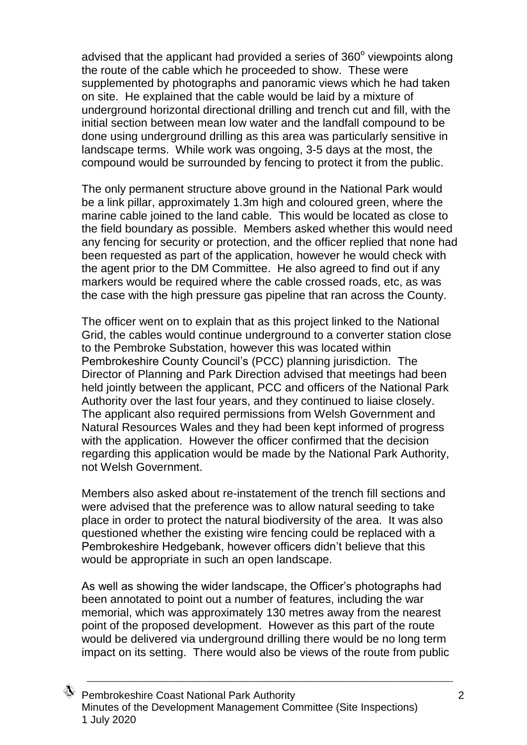advised that the applicant had provided a series of  $360^{\circ}$  viewpoints along the route of the cable which he proceeded to show. These were supplemented by photographs and panoramic views which he had taken on site. He explained that the cable would be laid by a mixture of underground horizontal directional drilling and trench cut and fill, with the initial section between mean low water and the landfall compound to be done using underground drilling as this area was particularly sensitive in landscape terms. While work was ongoing, 3-5 days at the most, the compound would be surrounded by fencing to protect it from the public.

The only permanent structure above ground in the National Park would be a link pillar, approximately 1.3m high and coloured green, where the marine cable joined to the land cable. This would be located as close to the field boundary as possible. Members asked whether this would need any fencing for security or protection, and the officer replied that none had been requested as part of the application, however he would check with the agent prior to the DM Committee. He also agreed to find out if any markers would be required where the cable crossed roads, etc, as was the case with the high pressure gas pipeline that ran across the County.

The officer went on to explain that as this project linked to the National Grid, the cables would continue underground to a converter station close to the Pembroke Substation, however this was located within Pembrokeshire County Council's (PCC) planning jurisdiction. The Director of Planning and Park Direction advised that meetings had been held jointly between the applicant, PCC and officers of the National Park Authority over the last four years, and they continued to liaise closely. The applicant also required permissions from Welsh Government and Natural Resources Wales and they had been kept informed of progress with the application. However the officer confirmed that the decision regarding this application would be made by the National Park Authority, not Welsh Government.

Members also asked about re-instatement of the trench fill sections and were advised that the preference was to allow natural seeding to take place in order to protect the natural biodiversity of the area. It was also questioned whether the existing wire fencing could be replaced with a Pembrokeshire Hedgebank, however officers didn't believe that this would be appropriate in such an open landscape.

As well as showing the wider landscape, the Officer's photographs had been annotated to point out a number of features, including the war memorial, which was approximately 130 metres away from the nearest point of the proposed development. However as this part of the route would be delivered via underground drilling there would be no long term impact on its setting. There would also be views of the route from public

\_\_\_\_\_\_\_\_\_\_\_\_\_\_\_\_\_\_\_\_\_\_\_\_\_\_\_\_\_\_\_\_\_\_\_\_\_\_\_\_\_\_\_\_\_\_\_\_\_\_\_\_\_\_\_\_\_\_\_\_\_\_\_\_\_\_\_\_\_